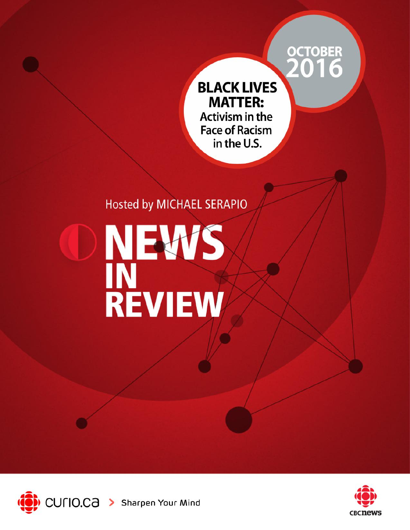# OCTOBER<br>2016

# **BLACK LIVES MATTER:** Activism in the **Face of Racism** in the U.S.

# **Hosted by MICHAEL SERAPIO**

# NEWS<br>INEWS



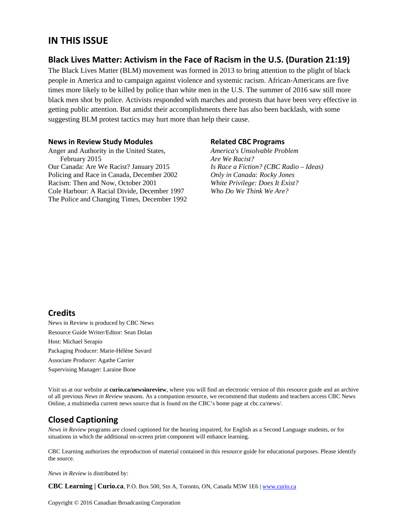#### **IN THIS ISSUE**

#### **Black Lives Matter: Activism in the Face of Racism in the U.S. (Duration 21:19)**

The Black Lives Matter (BLM) movement was formed in 2013 to bring attention to the plight of black people in America and to campaign against violence and systemic racism. African-Americans are five times more likely to be killed by police than white men in the U.S. The summer of 2016 saw still more black men shot by police. Activists responded with marches and protests that have been very effective in getting public attention. But amidst their accomplishments there has also been backlash, with some suggesting BLM protest tactics may hurt more than help their cause.

#### **News in Review Study Modules**

Anger and Authority in the United States, February 2015 Our Canada: Are We Racist? January 2015 Policing and Race in Canada, December 2002 Racism: Then and Now, October 2001 Cole Harbour: A Racial Divide, December 1997 The Police and Changing Times, December 1992

#### **Related CBC Programs**

*America's Unsolvable Problem Are We Racist? Is Race a Fiction? (CBC Radio – Ideas) Only in Canada: Rocky Jones White Privilege: Does It Exist? Who Do We Think We Are?* 

#### **Credits**

News in Review is produced by CBC News Resource Guide Writer/Editor: Sean Dolan Host: Michael Serapio Packaging Producer: Marie-Hélène Savard Associate Producer: Agathe Carrier Supervising Manager: Laraine Bone

Visit us at our website at **curio.ca/newsinreview**, where you will find an electronic version of this resource guide and an archive of all previous *News in Review* seasons. As a companion resource, we recommend that students and teachers access CBC News Online, a multimedia current news source that is found on the CBC's home page at cbc.ca/news/.

#### **Closed Captioning**

*News in Review* programs are closed captioned for the hearing impaired, for English as a Second Language students, or for situations in which the additional on-screen print component will enhance learning.

CBC Learning authorizes the reproduction of material contained in this resource guide for educational purposes. Please identify the source.

*News in Review* is distributed by:

**CBC Learning | Curio.ca**, P.O. Box 500, Stn A, Toronto, ON, Canada M5W 1E6 | www.curio.ca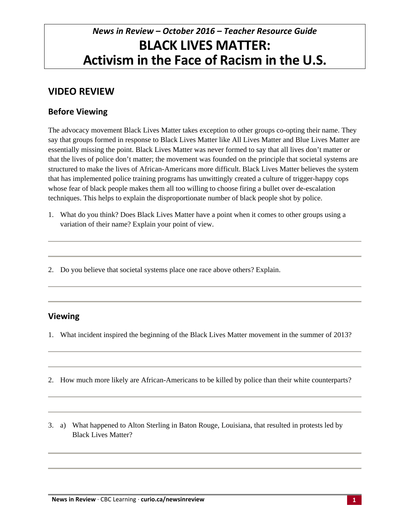# *News in Review – October 2016 – Teacher Resource Guide* **BLACK LIVES MATTER: Activism in the Face of Racism in the U.S.**

## **VIDEO REVIEW**

#### **Before Viewing**

The advocacy movement Black Lives Matter takes exception to other groups co-opting their name. They say that groups formed in response to Black Lives Matter like All Lives Matter and Blue Lives Matter are essentially missing the point. Black Lives Matter was never formed to say that all lives don't matter or that the lives of police don't matter; the movement was founded on the principle that societal systems are structured to make the lives of African-Americans more difficult. Black Lives Matter believes the system that has implemented police training programs has unwittingly created a culture of trigger-happy cops whose fear of black people makes them all too willing to choose firing a bullet over de-escalation techniques. This helps to explain the disproportionate number of black people shot by police.

1. What do you think? Does Black Lives Matter have a point when it comes to other groups using a variation of their name? Explain your point of view.

2. Do you believe that societal systems place one race above others? Explain.

#### **Viewing**

1. What incident inspired the beginning of the Black Lives Matter movement in the summer of 2013?

- 2. How much more likely are African-Americans to be killed by police than their white counterparts?
- 3. a) What happened to Alton Sterling in Baton Rouge, Louisiana, that resulted in protests led by Black Lives Matter?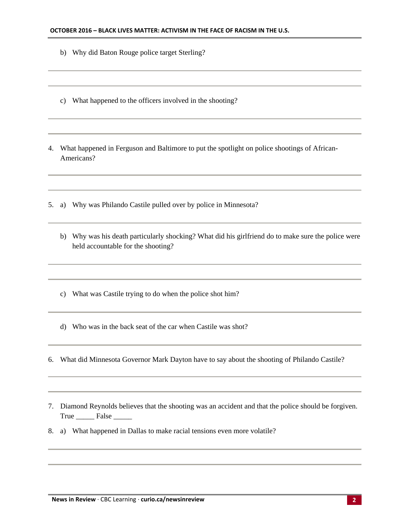- b) Why did Baton Rouge police target Sterling?
- c) What happened to the officers involved in the shooting?
- 4. What happened in Ferguson and Baltimore to put the spotlight on police shootings of African-Americans?
- 5. a) Why was Philando Castile pulled over by police in Minnesota?
	- b) Why was his death particularly shocking? What did his girlfriend do to make sure the police were held accountable for the shooting?
	- c) What was Castile trying to do when the police shot him?
	- d) Who was in the back seat of the car when Castile was shot?
- 6. What did Minnesota Governor Mark Dayton have to say about the shooting of Philando Castile?
- 7. Diamond Reynolds believes that the shooting was an accident and that the police should be forgiven. True \_\_\_\_\_\_\_ False \_\_\_\_\_\_
- 8. a) What happened in Dallas to make racial tensions even more volatile?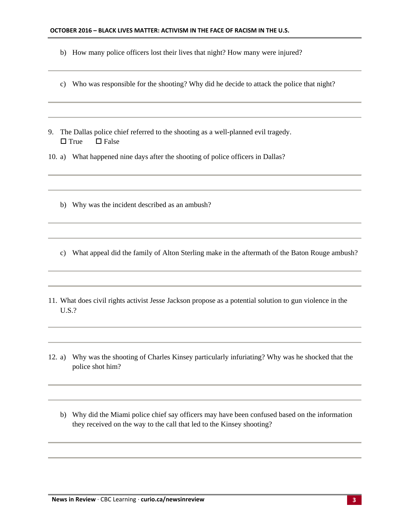- b) How many police officers lost their lives that night? How many were injured?
- c) Who was responsible for the shooting? Why did he decide to attack the police that night?
- 9. The Dallas police chief referred to the shooting as a well-planned evil tragedy.  $\square$  True  $\square$  False
- 10. a) What happened nine days after the shooting of police officers in Dallas?
	- b) Why was the incident described as an ambush?
	- c) What appeal did the family of Alton Sterling make in the aftermath of the Baton Rouge ambush?
- 11. What does civil rights activist Jesse Jackson propose as a potential solution to gun violence in the U.S.?
- 12. a) Why was the shooting of Charles Kinsey particularly infuriating? Why was he shocked that the police shot him?
	- b) Why did the Miami police chief say officers may have been confused based on the information they received on the way to the call that led to the Kinsey shooting?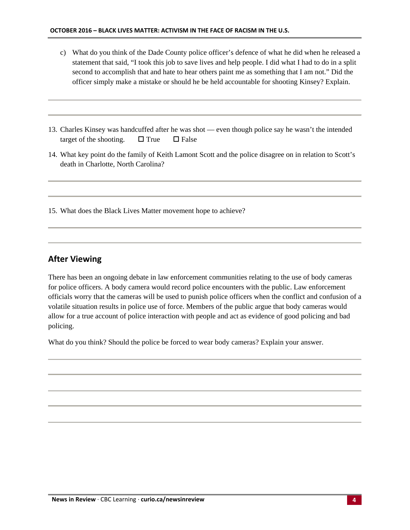- c) What do you think of the Dade County police officer's defence of what he did when he released a statement that said, "I took this job to save lives and help people. I did what I had to do in a split second to accomplish that and hate to hear others paint me as something that I am not." Did the officer simply make a mistake or should he be held accountable for shooting Kinsey? Explain.
- 13. Charles Kinsey was handcuffed after he was shot even though police say he wasn't the intended target of the shooting.  $\Box$  True  $\Box$  False
- 14. What key point do the family of Keith Lamont Scott and the police disagree on in relation to Scott's death in Charlotte, North Carolina?

15. What does the Black Lives Matter movement hope to achieve?

#### **After Viewing**

There has been an ongoing debate in law enforcement communities relating to the use of body cameras for police officers. A body camera would record police encounters with the public. Law enforcement officials worry that the cameras will be used to punish police officers when the conflict and confusion of a volatile situation results in police use of force. Members of the public argue that body cameras would allow for a true account of police interaction with people and act as evidence of good policing and bad policing.

What do you think? Should the police be forced to wear body cameras? Explain your answer.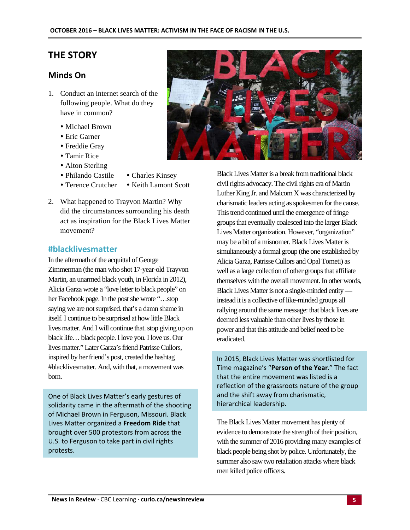#### **THE STORY**

#### **Minds On**

- 1. Conduct an internet search of the following people. What do they have in common?
	- Michael Brown
	- Eric Garner
	- Freddie Gray
	- Tamir Rice
	- Alton Sterling
	- Philando Castile Charles Kinsey
	- Terence Crutcher Keith Lamont Scott
- 2. What happened to Trayvon Martin? Why did the circumstances surrounding his death act as inspiration for the Black Lives Matter movement?

#### **#blacklivesmatter**

In the aftermath of the acquittal of George Zimmerman (the man who shot 17-year-old Trayvon Martin, an unarmed black youth, in Florida in 2012), Alicia Garza wrote a "love letter to black people" on her Facebook page. In the post she wrote "…stop saying we are not surprised. that's a damn shame in itself. I continue to be surprised at how little Black lives matter. And I will continue that. stop giving up on black life… black people. I love you. I love us. Our lives matter." Later Garza's friend Patrisse Cullors, inspired by her friend's post, created the hashtag #blacklivesmatter. And, with that, a movement was born.

One of Black Lives Matter's early gestures of solidarity came in the aftermath of the shooting of Michael Brown in Ferguson, Missouri. Black Lives Matter organized a **Freedom Ride** that brought over 500 protestors from across the U.S. to Ferguson to take part in civil rights protests.



Black Lives Matter is a break from traditional black civil rights advocacy. The civil rights era of Martin Luther King Jr. and Malcom X was characterized by charismatic leaders acting as spokesmen for the cause. This trend continued until the emergence of fringe groups that eventually coalesced into the larger Black Lives Matter organization. However, "organization" may be a bit of a misnomer. Black Lives Matter is simultaneously a formal group (the one established by Alicia Garza, Patrisse Cullors and Opal Tometi) as well as a large collection of other groups that affiliate themselves with the overall movement. In other words, Black Lives Matter is not a single-minded entity instead it is a collective of like-minded groups all rallying around the same message: that black lives are deemed less valuable than other lives by those in power and that this attitude and belief need to be eradicated.

In 2015, Black Lives Matter was shortlisted for Time magazine's "**Person of the Year**." The fact that the entire movement was listed is a reflection of the grassroots nature of the group and the shift away from charismatic, hierarchical leadership.

The Black Lives Matter movement has plenty of evidence to demonstrate the strength of their position, with the summer of 2016 providing many examples of black people being shot by police. Unfortunately, the summer also saw two retaliation attacks where black men killed police officers.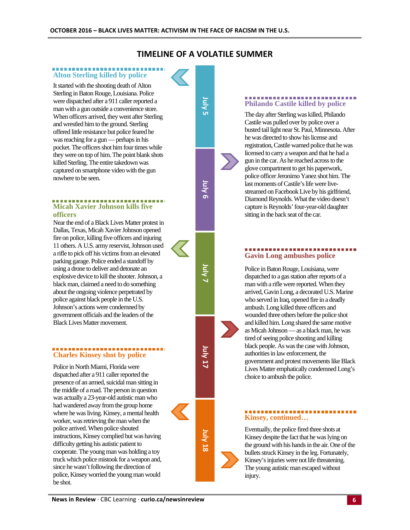#### **TIMELINE OF A VOLATILE SUMMER**

**July Сп** 

**July 6**

**July 7**

**July 17**

**July 18**

#### .................... **Alton Sterling killed by police**

It started with the shooting death of Alton Sterling in Baton Rouge, Louisiana. Police were dispatched after a 911 caller reported a man with a gun outside a convenience store. When officers arrived, they went after Sterling and wrestled him to the ground. Sterling offered little resistance but police feared he was reaching for a gun — perhaps in his pocket. The officers shot him four times while they were on top of him. The point blank shots killed Sterling. The entire takedown was captured on smartphone video with the gun nowhere to be seen.

#### -----------------------------**Micah Xavier Johnson kills five officers**

Near the end of a Black Lives Matter protest in Dallas, Texas, Micah Xavier Johnson opened fire on police, killing five officers and injuring 11 others. A U.S. army reservist, Johnson used a rifle to pick off his victims from an elevated parking garage. Police ended a standoff by using a drone to deliver and detonate an explosive device to kill the shooter. Johnson, a black man, claimed a need to do something about the ongoing violence perpetrated by police against black people in the U.S. Johnson's actions were condemned by government officials and the leaders of the Black Lives Matter movement.

#### ............................. **Charles Kinsey shot by police**

Police in North Miami, Florida were dispatched after a 911 caller reported the presence of an armed, suicidal man sitting in the middle of a road. The person in question was actually a 23-year-old autistic man who had wandered away from the group home where he was living. Kinsey, a mental health worker, was retrieving the man when the police arrived. When police shouted instructions, Kinsey complied but was having difficulty getting his autistic patient to cooperate. The young man was holding a toy truck which police mistook for a weapon and, since he wasn't following the direction of police, Kinsey worried the young man would be shot.

#### ........................... **Philando Castile killed by police**

The day after Sterling was killed, Philando Castile was pulled over by police over a busted tail light near St. Paul, Minnesota. After he was directed to show his license and registration, Castile warned police that he was licensed to carry a weapon and that he had a gun in the car. As he reached across to the glove compartment to get his paperwork, police officer Jeronimo Yanez shot him. The last moments of Castile's life were livestreamed on Facebook Live by his girlfriend, Diamond Reynolds. What the video doesn't capture is Reynolds' four-year-old daughter sitting in the back seat of the car.

# **Gavin Long ambushes police**

Police in Baton Rouge, Louisiana, were dispatched to a gas station after reports of a man with a rifle were reported. When they arrived, Gavin Long, a decorated U.S. Marine who served in Iraq, opened fire in a deadly ambush. Long killed three officers and wounded three others before the police shot and killed him. Long shared the same motive as Micah Johnson — as a black man, he was tired of seeing police shooting and killing black people. As was the case with Johnson, authorities in law enforcement, the government and protest movements like Black Lives Matter emphatically condemned Long's choice to ambush the police.

#### ................... **Kinsey, continued…**

Eventually, the police fired three shots at Kinsey despite the fact that he was lying on the ground with his hands in the air. One of the bullets struck Kinsey in the leg. Fortunately, Kinsey's injuries were not life threatening. The young autistic man escaped without injury.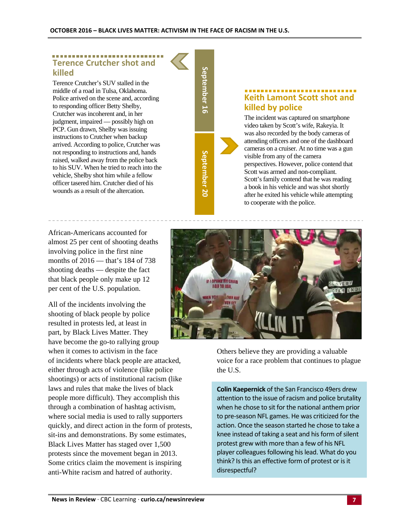#### ------------------------**Terence Crutcher shot and killed**

Terence Crutcher's SUV stalled in the middle of a road in Tulsa, Oklahoma. Police arrived on the scene and, according to responding officer Betty Shelby, Crutcher was incoherent and, in her judgment, impaired — possibly high on PCP. Gun drawn, Shelby was issuing instructions to Crutcher when backup arrived. According to police, Crutcher was not responding to instructions and, hands raised, walked away from the police back to his SUV. When he tried to reach into the vehicle, Shelby shot him while a fellow officer tasered him. Crutcher died of his wounds as a result of the altercation.

African-Americans accounted for almost 25 per cent of shooting deaths involving police in the first nine months of 2016 — that's 184 of 738 shooting deaths — despite the fact that black people only make up 12 per cent of the U.S. population.

All of the incidents involving the shooting of black people by police resulted in protests led, at least in part, by Black Lives Matter. They have become the go-to rallying group when it comes to activism in the face of incidents where black people are attacked, either through acts of violence (like police shootings) or acts of institutional racism (like laws and rules that make the lives of black people more difficult). They accomplish this through a combination of hashtag activism, where social media is used to rally supporters quickly, and direct action in the form of protests, sit-ins and demonstrations. By some estimates, Black Lives Matter has staged over 1,500 protests since the movement began in 2013. Some critics claim the movement is inspiring anti-White racism and hatred of authority.

**September** September 16 **September** September 20

## **Keith Lamont Scott shot and killed by police**

The incident was captured on smartphone video taken by Scott's wife, Rakeyia. It was also recorded by the body cameras of attending officers and one of the dashboard cameras on a cruiser. At no time was a gun visible from any of the camera perspectives. However, police contend that Scott was armed and non-compliant. Scott's family contend that he was reading a book in his vehicle and was shot shortly after he exited his vehicle while attempting to cooperate with the police.



Others believe they are providing a valuable voice for a race problem that continues to plague the U.S.

**Colin Kaepernick** of the San Francisco 49ers drew attention to the issue of racism and police brutality when he chose to sit for the national anthem prior to pre‐season NFL games. He was criticized for the action. Once the season started he chose to take a knee instead of taking a seat and his form of silent protest grew with more than a few of his NFL player colleagues following his lead. What do you think? Is this an effective form of protest or is it disrespectful?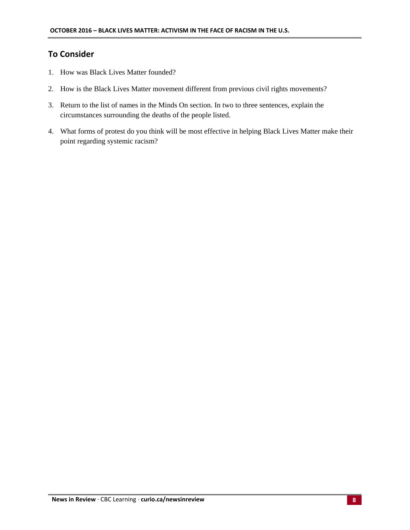#### **To Consider**

- 1. How was Black Lives Matter founded?
- 2. How is the Black Lives Matter movement different from previous civil rights movements?
- 3. Return to the list of names in the Minds On section. In two to three sentences, explain the circumstances surrounding the deaths of the people listed.
- 4. What forms of protest do you think will be most effective in helping Black Lives Matter make their point regarding systemic racism?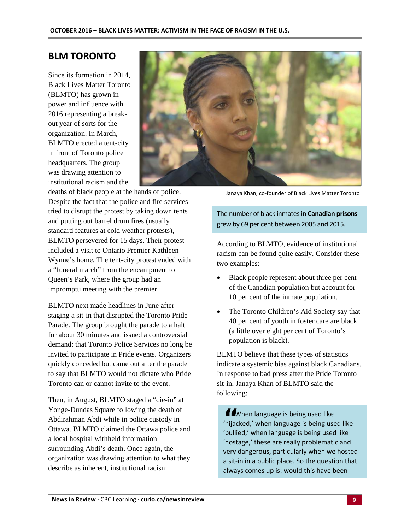#### **BLM TORONTO**

Since its formation in 2014, Black Lives Matter Toronto (BLMTO) has grown in power and influence with 2016 representing a breakout year of sorts for the organization. In March, BLMTO erected a tent-city in front of Toronto police headquarters. The group was drawing attention to institutional racism and the



deaths of black people at the hands of police. Despite the fact that the police and fire services tried to disrupt the protest by taking down tents and putting out barrel drum fires (usually standard features at cold weather protests), BLMTO persevered for 15 days. Their protest included a visit to Ontario Premier Kathleen Wynne's home. The tent-city protest ended with a "funeral march" from the encampment to Queen's Park, where the group had an impromptu meeting with the premier.

BLMTO next made headlines in June after staging a sit-in that disrupted the Toronto Pride Parade. The group brought the parade to a halt for about 30 minutes and issued a controversial demand: that Toronto Police Services no long be invited to participate in Pride events. Organizers quickly conceded but came out after the parade to say that BLMTO would not dictate who Pride Toronto can or cannot invite to the event.

Then, in August, BLMTO staged a "die-in" at Yonge-Dundas Square following the death of Abdirahman Abdi while in police custody in Ottawa. BLMTO claimed the Ottawa police and a local hospital withheld information surrounding Abdi's death. Once again, the organization was drawing attention to what they describe as inherent, institutional racism.

Janaya Khan, co‐founder of Black Lives Matter Toronto

The number of black inmatesin **Canadian prisons** grew by 69 per cent between 2005 and 2015.

According to BLMTO, evidence of institutional racism can be found quite easily. Consider these two examples:

- Black people represent about three per cent of the Canadian population but account for 10 per cent of the inmate population.
- The Toronto Children's Aid Society say that 40 per cent of youth in foster care are black (a little over eight per cent of Toronto's population is black).

BLMTO believe that these types of statistics indicate a systemic bias against black Canadians. In response to bad press after the Pride Toronto sit-in, Janaya Khan of BLMTO said the following:

**11** When language is being used like<br>'hijacked,' when language is being used like 'bullied,' when language is being used like 'hostage,' these are really problematic and very dangerous, particularly when we hosted a sit‐in in a public place. So the question that always comes up is: would this have been